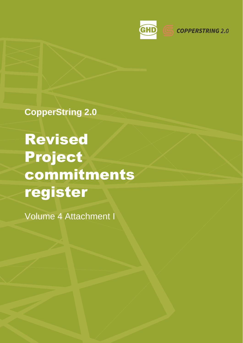

**CopperString 2.0**

Revised Project commitments register

Volume 4 Attachment I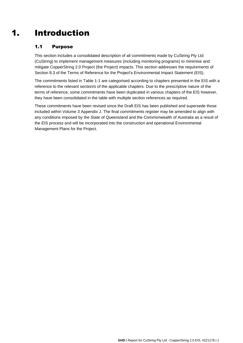# 1. Introduction

## 1.1 Purpose

This section includes a consolidated description of all commitments made by CuString Pty Ltd (CuString) to implement management measures (including monitoring programs) to minimise and mitigate CopperString 2.0 Project (the Project) impacts. This section addresses the requirements of Section 8.3 of the Terms of Reference for the Project's Environmental Impact Statement (EIS).

The commitments listed in [Table 1-1 a](#page-2-0)re categorised according to chapters presented in the EIS with a reference to the relevant section/s of the applicable chapters. Due to the prescriptive nature of the terms of reference, some commitments have been duplicated in various chapters of the EIS however, they have been consolidated in the table with multiple section references as required.

These commitments have been revised since the Draft EIS has been published and supersede those included within Volume 3 Appendix J. The final commitments register may be amended to align with any conditions imposed by the State of Queensland and the Commonwealth of Australia as a result of the EIS process and will be incorporated into the construction and operational Environmental Management Plans for the Project.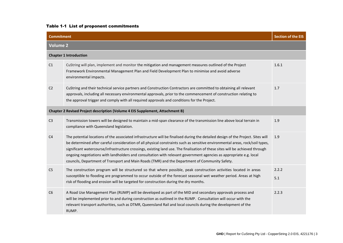### Table 1-1 List of proponent commitments

<span id="page-2-0"></span>

| <b>Commitment</b> |                                                                                                                                                                                                                                                                                                                                                                                                                                                                                                                                                                                                                            | <b>Section of the EIS</b> |
|-------------------|----------------------------------------------------------------------------------------------------------------------------------------------------------------------------------------------------------------------------------------------------------------------------------------------------------------------------------------------------------------------------------------------------------------------------------------------------------------------------------------------------------------------------------------------------------------------------------------------------------------------------|---------------------------|
| <b>Volume 2</b>   |                                                                                                                                                                                                                                                                                                                                                                                                                                                                                                                                                                                                                            |                           |
|                   | <b>Chapter 1 Introduction</b>                                                                                                                                                                                                                                                                                                                                                                                                                                                                                                                                                                                              |                           |
| C1                | CuString will plan, implement and monitor the mitigation and management measures outlined of the Project<br>Framework Environmental Management Plan and Field Development Plan to minimise and avoid adverse<br>environmental impacts.                                                                                                                                                                                                                                                                                                                                                                                     | 1.6.1                     |
| C <sub>2</sub>    | CuString and their technical service partners and Construction Contractors are committed to obtaining all relevant<br>approvals, including all necessary environmental approvals, prior to the commencement of construction relating to<br>the approval trigger and comply with all required approvals and conditions for the Project.                                                                                                                                                                                                                                                                                     | 1.7                       |
|                   | Chapter 2 Revised Project description (Volume 4 EIS Supplement, Attachment B)                                                                                                                                                                                                                                                                                                                                                                                                                                                                                                                                              |                           |
| C <sub>3</sub>    | Transmission towers will be designed to maintain a mid-span clearance of the transmission line above local terrain in<br>compliance with Queensland legislation.                                                                                                                                                                                                                                                                                                                                                                                                                                                           | 1.9                       |
| C <sub>4</sub>    | The potential locations of the associated infrastructure will be finalised during the detailed design of the Project. Sites will<br>be determined after careful consideration of all physical constraints such as sensitive environmental areas, rock/soil types,<br>significant watercourse/infrastructure crossings, existing land use. The finalisation of these sites will be achieved through<br>ongoing negotiations with landholders and consultation with relevant government agencies as appropriate e.g. local<br>councils, Department of Transport and Main Roads (TMR) and the Department of Community Safety. | 1.9                       |
| C <sub>5</sub>    | The construction program will be structured so that where possible, peak construction activities located in areas<br>susceptible to flooding are programmed to occur outside of the forecast seasonal wet weather period. Areas at high<br>risk of flooding and erosion will be targeted for construction during the dry months.                                                                                                                                                                                                                                                                                           | 2.2.2<br>5.1              |
| C6                | A Road Use Management Plan (RUMP) will be developed as part of the MID and secondary approvals process and<br>will be implemented prior to and during construction as outlined in the RUMP. Consultation will occur with the<br>relevant transport authorities, such as DTMR, Queensland Rail and local councils during the development of the<br>RUMP.                                                                                                                                                                                                                                                                    | 2.2.3                     |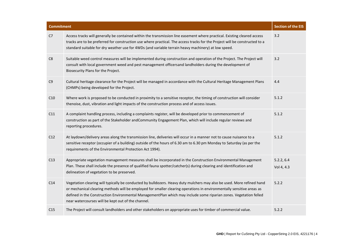| <b>Commitment</b> |                                                                                                                                                                                                                                                                                                                                                                                                                            | <b>Section of the EIS</b> |
|-------------------|----------------------------------------------------------------------------------------------------------------------------------------------------------------------------------------------------------------------------------------------------------------------------------------------------------------------------------------------------------------------------------------------------------------------------|---------------------------|
| C7                | Access tracks will generally be contained within the transmission line easement where practical. Existing cleared access<br>tracks are to be preferred for construction use where practical. The access tracks for the Project will be constructed to a<br>standard suitable for dry weather use for 4WDs (and variable terrain heavy machinery) at low speed.                                                             | 3.2                       |
| C8                | Suitable weed control measures will be implemented during construction and operation of the Project. The Project will<br>consult with local government weed and pest management officersand landholders during the development of<br>Biosecurity Plans for the Project.                                                                                                                                                    | 3.2                       |
| C9                | Cultural heritage clearance for the Project will be managed in accordance with the Cultural Heritage Management Plans<br>(CHMPs) being developed for the Project.                                                                                                                                                                                                                                                          | 4.4                       |
| C10               | Where work is proposed to be conducted in proximity to a sensitive receptor, the timing of construction will consider<br>thenoise, dust, vibration and light impacts of the construction process and of access issues.                                                                                                                                                                                                     | 5.1.2                     |
| C11               | A complaint handling process, including a complaints register, will be developed prior to commencement of<br>construction as part of the Stakeholder and Community Engagement Plan, which will include regular reviews and<br>reporting procedures.                                                                                                                                                                        | 5.1.2                     |
| C12               | At laydown/delivery areas along the transmission line, deliveries will occur in a manner not to cause nuisance to a<br>sensitive receptor (occupier of a building) outside of the hours of 6.30 am to 6.30 pm Monday to Saturday (as per the<br>requirements of the Environmental Protection Act 1994).                                                                                                                    | 5.1.2                     |
| C13               | Appropriate vegetation management measures shall be incorporated in the Construction Environmental Management<br>Plan. These shall include the presence of qualified fauna spotter/catcher(s) during clearing and identification and<br>delineation of vegetation to be preserved.                                                                                                                                         | 5.2.2, 6.4<br>Vol 4, 4.3  |
| C14               | Vegetation clearing will typically be conducted by bulldozers. Heavy duty mulchers may also be used. More refined hand<br>or mechanical clearing methods will be employed for smaller clearing operations in environmentally sensitive areas as<br>defined in the Construction Environmental ManagementPlan which may include some riparian zones. Vegetation felled<br>near watercourses will be kept out of the channel. | 5.2.2                     |
| C15               | The Project will consult landholders and other stakeholders on appropriate uses for timber of commercial value.                                                                                                                                                                                                                                                                                                            | 5.2.2                     |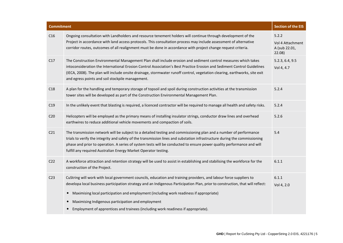| <b>Commitment</b> |                                                                                                                                                                                                                                                                                                                                                                                                                                             | <b>Section of the EIS</b>                            |
|-------------------|---------------------------------------------------------------------------------------------------------------------------------------------------------------------------------------------------------------------------------------------------------------------------------------------------------------------------------------------------------------------------------------------------------------------------------------------|------------------------------------------------------|
| C16               | Ongoing consultation with Landholders and resource tenement holders will continue through development of the<br>Project in accordance with land access protocols. This consultation process may include assessment of alternative<br>corridor routes, outcomes of all realignment must be done in accordance with project change request criteria.                                                                                          | 5.2.2<br>Vol 4 Attachment<br>A (sub 22.01,<br>22.08) |
| C17               | The Construction Environmental Management Plan shall include erosion and sediment control measures which takes<br>intoconsideration the International Erosion Control Association's Best Practice Erosion and Sediment Control Guidelines<br>(IECA, 2008). The plan will include onsite drainage, stormwater runoff control, vegetation clearing, earthworks, site exit<br>and egress points and soil stockpile management.                 | 5.2.3, 6.4, 9.5<br>Vol 4, 4.7                        |
| C18               | A plan for the handling and temporary storage of topsoil and spoil during construction activities at the transmission<br>tower sites will be developed as part of the Construction Environmental Management Plan.                                                                                                                                                                                                                           | 5.2.4                                                |
| C19               | In the unlikely event that blasting is required, a licenced contractor will be required to manage all health and safety risks.                                                                                                                                                                                                                                                                                                              | 5.2.4                                                |
| C <sub>20</sub>   | Helicopters will be employed as the primary means of installing insulator strings, conductor draw lines and overhead<br>earthwires to reduce additional vehicle movements and compaction of soils.                                                                                                                                                                                                                                          | 5.2.6                                                |
| C <sub>21</sub>   | The transmission network will be subject to a detailed testing and commissioning plan and a number of performance<br>trials to verify the integrity and safety of the transmission lines and substation infrastructure during the commissioning<br>phase and prior to operation. A series of system tests will be conducted to ensure power quality performance and will<br>fulfill any required Australian Energy Market Operator testing. | 5.4                                                  |
| C <sub>22</sub>   | A workforce attraction and retention strategy will be used to assist in establishing and stabilising the workforce for the<br>construction of the Project.                                                                                                                                                                                                                                                                                  | 6.1.1                                                |
| C <sub>23</sub>   | CuString will work with local government councils, education and training providers, and labour force suppliers to<br>developa local business participation strategy and an Indigenous Participation Plan, prior to construction, that will reflect:<br>Maximising local participation and employment (including work readiness if appropriate)<br>$\bullet$<br>Maximising Indigenous participation and employment                          | 6.1.1<br>Vol 4, 2.0                                  |
|                   | Employment of apprentices and trainees (including work readiness if appropriate).                                                                                                                                                                                                                                                                                                                                                           |                                                      |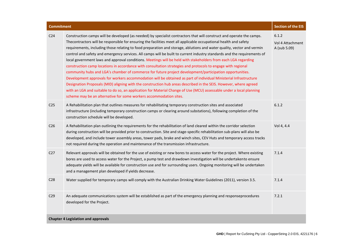| <b>Commitment</b> |                                                                                                                                                                                                                                                                                                                                                                                                                                                                                                                                                                                                                                                                                                                                                                                                                                                                                                                                                                                                                                                                                                                                                                                                                                                                                        | <b>Section of the EIS</b>                 |
|-------------------|----------------------------------------------------------------------------------------------------------------------------------------------------------------------------------------------------------------------------------------------------------------------------------------------------------------------------------------------------------------------------------------------------------------------------------------------------------------------------------------------------------------------------------------------------------------------------------------------------------------------------------------------------------------------------------------------------------------------------------------------------------------------------------------------------------------------------------------------------------------------------------------------------------------------------------------------------------------------------------------------------------------------------------------------------------------------------------------------------------------------------------------------------------------------------------------------------------------------------------------------------------------------------------------|-------------------------------------------|
| C <sub>24</sub>   | Construction camps will be developed (as needed) by specialist contractors that will construct and operate the camps.<br>Thecontractors will be responsible for ensuring the facilities meet all applicable occupational health and safety<br>requirements, including those relating to food preparation and storage, ablutions and water quality, vector and vermin<br>control and safety and emergency services. All camps will be built to current industry standards and the requirements of<br>local government laws and approval conditions. Meetings will be held with stakeholders from each LGA regarding<br>construction camp locations in accordance with consultation strategies and protocols to engage with regional<br>community hubs and LGA's chamber of commerce for future project development/participation opportunities.<br>Development approvals for workers accommodation will be obtained as part of individual Ministerial Infrastructure<br>Designation Proposals (MID) aligning with the construction hub areas described in the SEIS. However, where agreed<br>with an LGA and suitable to do so, an application for Material Change of Use (MCU) assessable under a local planning<br>scheme may be an alternative for some workers accommodation sites. | 6.1.2<br>Vol 4 Attachment<br>A (sub 5.09) |
| C <sub>25</sub>   | A Rehabilitation plan that outlines measures for rehabilitating temporary construction sites and associated<br>infrastructure (including temporary construction camps or clearing around substations), following completion of the<br>construction schedule will be developed.                                                                                                                                                                                                                                                                                                                                                                                                                                                                                                                                                                                                                                                                                                                                                                                                                                                                                                                                                                                                         | 6.1.2                                     |
| C <sub>26</sub>   | A Rehabilitation plan outlining the requirements for the rehabilitation of land cleared within the corridor selection<br>during construction will be provided prior to construction. Site and stage-specific rehabilitation sub-plans will also be<br>developed, and include tower assembly areas, tower pads, brake and winch sites, CEV Huts and temporary access tracks<br>not required during the operation and maintenance of the transmission infrastructure.                                                                                                                                                                                                                                                                                                                                                                                                                                                                                                                                                                                                                                                                                                                                                                                                                    | Vol 4, 4.4                                |
| C27               | Relevant approvals will be obtained for the use of existing or new bores to access water for the project. Where existing<br>bores are used to access water for the Project, a pump test and drawdown investigation will be undertakento ensure<br>adequate yields will be available for construction use and for surrounding users. Ongoing monitoring will be undertaken<br>and a management plan developed if yields decrease.                                                                                                                                                                                                                                                                                                                                                                                                                                                                                                                                                                                                                                                                                                                                                                                                                                                       | 7.1.4                                     |
| C <sub>28</sub>   | Water supplied for temporary camps will comply with the Australian Drinking Water Guidelines (2011), version 3.5.                                                                                                                                                                                                                                                                                                                                                                                                                                                                                                                                                                                                                                                                                                                                                                                                                                                                                                                                                                                                                                                                                                                                                                      | 7.1.4                                     |
| C <sub>29</sub>   | An adequate communications system will be established as part of the emergency planning and responseprocedures<br>developed for the Project.                                                                                                                                                                                                                                                                                                                                                                                                                                                                                                                                                                                                                                                                                                                                                                                                                                                                                                                                                                                                                                                                                                                                           | 7.2.1                                     |
|                   | <b>Chapter 4 Legislation and approvals</b>                                                                                                                                                                                                                                                                                                                                                                                                                                                                                                                                                                                                                                                                                                                                                                                                                                                                                                                                                                                                                                                                                                                                                                                                                                             |                                           |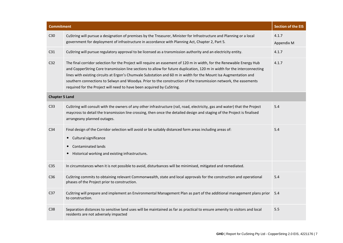| <b>Commitment</b>     |                                                                                                                                                                                                                                                                                                                                                                                                                                                                                                                                                                   | <b>Section of the EIS</b> |
|-----------------------|-------------------------------------------------------------------------------------------------------------------------------------------------------------------------------------------------------------------------------------------------------------------------------------------------------------------------------------------------------------------------------------------------------------------------------------------------------------------------------------------------------------------------------------------------------------------|---------------------------|
| C30                   | CuString will pursue a designation of premises by the Treasurer, Minister for Infrastructure and Planning or a local<br>government for deployment of infrastructure in accordance with Planning Act, Chapter 2, Part 5.                                                                                                                                                                                                                                                                                                                                           | 4.1.7<br>Appendix M       |
| C31                   | CuString will pursue regulatory approval to be licensed as a transmission authority and an electricity entity.                                                                                                                                                                                                                                                                                                                                                                                                                                                    | 4.1.7                     |
| C32                   | The final corridor selection for the Project will require an easement of 120 m in width, for the Renewable Energy Hub<br>and CopperString Core transmission line sections to allow for future duplication, 120 m in width for the interconnecting<br>lines with existing circuits at Ergon's Chumvale Substation and 60 m in width for the Mount Isa Augmentation and<br>southern connections to Selwyn and Woodya. Prior to the construction of the transmission network, the easements<br>required for the Project will need to have been acquired by CuString. | 4.1.7                     |
| <b>Chapter 5 Land</b> |                                                                                                                                                                                                                                                                                                                                                                                                                                                                                                                                                                   |                           |
| C33                   | CuString will consult with the owners of any other infrastructure (rail, road, electricity, gas and water) that the Project<br>maycross to detail the transmission line crossing, then once the detailed design and staging of the Project is finalised<br>arrangeany planned outages.                                                                                                                                                                                                                                                                            | 5.4                       |
| C34                   | Final design of the Corridor selection will avoid or be suitably distanced form areas including areas of:<br>Cultural significance<br>$\bullet$<br><b>Contaminated lands</b><br>Historical working and existing infrastructure.                                                                                                                                                                                                                                                                                                                                   | 5.4                       |
| C35                   | In circumstances when it is not possible to avoid, disturbances will be minimised, mitigated and remediated.                                                                                                                                                                                                                                                                                                                                                                                                                                                      |                           |
| C36                   | CuString commits to obtaining relevant Commonwealth, state and local approvals for the construction and operational<br>phases of the Project prior to construction.                                                                                                                                                                                                                                                                                                                                                                                               | 5.4                       |
| C37                   | CuString will prepare and implement an Environmental Management Plan as part of the additional management plans prior<br>to construction.                                                                                                                                                                                                                                                                                                                                                                                                                         | 5.4                       |
| C38                   | Separation distances to sensitive land uses will be maintained as far as practical to ensure amenity to visitors and local<br>residents are not adversely impacted                                                                                                                                                                                                                                                                                                                                                                                                | 5.5                       |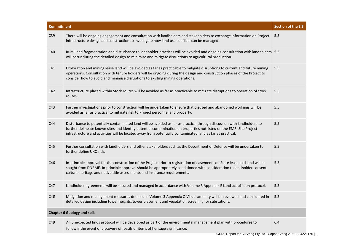| <b>Commitment</b>                  |                                                                                                                                                                                                                                                                                                                                                               | <b>Section of the EIS</b> |
|------------------------------------|---------------------------------------------------------------------------------------------------------------------------------------------------------------------------------------------------------------------------------------------------------------------------------------------------------------------------------------------------------------|---------------------------|
| C39                                | There will be ongoing engagement and consultation with landholders and stakeholders to exchange information on Project<br>infrastructure design and construction to investigate how land use conflicts can be managed.                                                                                                                                        | 5.5                       |
| C40                                | Rural land fragmentation and disturbance to landholder practices will be avoided and ongoing consultation with landholders 5.5<br>will occur during the detailed design to minimise and mitigate disruptions to agricultural production.                                                                                                                      |                           |
| C41                                | Exploration and mining lease land will be avoided as far as practicable to mitigate disruptions to current and future mining<br>operations. Consultation with tenure holders will be ongoing during the design and construction phases of the Project to<br>consider how to avoid and minimise disruptions to existing mining operations.                     | 5.5                       |
| C42                                | Infrastructure placed within Stock routes will be avoided as far as practicable to mitigate disruptions to operation of stock<br>routes.                                                                                                                                                                                                                      | 5.5                       |
| C43                                | Further investigations prior to construction will be undertaken to ensure that disused and abandoned workings will be<br>avoided as far as practical to mitigate risk to Project personnel and property.                                                                                                                                                      | 5.5                       |
| C44                                | Disturbance to potentially contaminated land will be avoided as far as practical through discussion with landholders to<br>further delineate known sites and identify potential contamination on properties not listed on the EMR. Site Project<br>infrastructure and activities will be located away from potentially contaminated land as far as practical. | 5.5                       |
| C45                                | Further consultation with landholders and other stakeholders such as the Department of Defence will be undertaken to<br>further define UXO risk.                                                                                                                                                                                                              | 5.5                       |
| C46                                | In-principle approval for the construction of the Project prior to registration of easements on State leasehold land will be<br>sought from DNRME. In-principle approval should be appropriately conditioned with consideration to landholder consent,<br>cultural heritage and native title assessments and insurance requirements.                          | 5.5                       |
| C47                                | Landholder agreements will be secured and managed in accordance with Volume 3 Appendix E Land acquisition protocol.                                                                                                                                                                                                                                           | 5.5                       |
| C48                                | Mitigation and management measures detailed in Volume 3 Appendix O Visual amenity will be reviewed and considered in<br>detailed design including tower heights, tower placement and vegetation screening for substations.                                                                                                                                    | 5.5                       |
| <b>Chapter 6 Geology and soils</b> |                                                                                                                                                                                                                                                                                                                                                               |                           |
| C49                                | An unexpected finds protocol will be developed as part of the environmental management plan with procedures to<br>follow inthe event of discovery of fossils or items of heritage significance.                                                                                                                                                               | 6.4                       |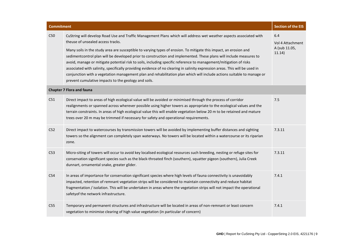| <b>Commitment</b> |                                                                                                                                                                                                                                                                                                                                                                                                                                                                                                                                                                                                                                                                                                                                                                                                                                          | <b>Section of the EIS</b>                          |
|-------------------|------------------------------------------------------------------------------------------------------------------------------------------------------------------------------------------------------------------------------------------------------------------------------------------------------------------------------------------------------------------------------------------------------------------------------------------------------------------------------------------------------------------------------------------------------------------------------------------------------------------------------------------------------------------------------------------------------------------------------------------------------------------------------------------------------------------------------------------|----------------------------------------------------|
| C50               | CuString will develop Road Use and Traffic Management Plans which will address wet weather aspects associated with<br>theuse of unsealed access tracks.<br>Many soils in the study area are susceptible to varying types of erosion. To mitigate this impact, an erosion and<br>sedimentcontrol plan will be developed prior to construction and implemented. These plans will include measures to<br>avoid, manage or mitigate potential risk to soils, including specific reference to management/mitigation of risks<br>associated with salinity, specifically providing evidence of no clearing in salinity expression areas. This will be used in<br>conjunction with a vegetation management plan and rehabilitation plan which will include actions suitable to manage or<br>prevent cumulative impacts to the geology and soils. | 6.4<br>Vol 4 Attachment<br>A (sub 11.05,<br>11.14) |
|                   | <b>Chapter 7 Flora and fauna</b>                                                                                                                                                                                                                                                                                                                                                                                                                                                                                                                                                                                                                                                                                                                                                                                                         |                                                    |
| C51               | Direct impact to areas of high ecological value will be avoided or minimised through the process of corridor<br>realignments or spanned across wherever possible using higher towers as appropriate to the ecological values and the<br>terrain constraints. In areas of high ecological value this will enable vegetation below 20 m to be retained and mature<br>trees over 20 m may be trimmed if necessary for safety and operational requirements.                                                                                                                                                                                                                                                                                                                                                                                  | 7.5                                                |
| C52               | Direct impact to watercourses by transmission towers will be avoided by implementing buffer distances and sighting<br>towers so the alignment can completely span waterways. No towers will be located within a watercourse or its riparian<br>zone.                                                                                                                                                                                                                                                                                                                                                                                                                                                                                                                                                                                     | 7.3.11                                             |
| C53               | Micro-siting of towers will occur to avoid key localised ecological resources such breeding, nesting or refuge sites for<br>conservation significant species such as the black-throated finch (southern), squatter pigeon (southern), Julia Creek<br>dunnart, ornamental snake, greater glider.                                                                                                                                                                                                                                                                                                                                                                                                                                                                                                                                          | 7.3.11                                             |
| C54               | In areas of importance for conservation significant species where high levels of fauna connectivity is unavoidably<br>impacted, retention of remnant vegetation strips will be considered to maintain connectivity and reduce habitat<br>fragmentation / isolation. This will be undertaken in areas where the vegetation strips will not impact the operational<br>safetyof the network infrastructure.                                                                                                                                                                                                                                                                                                                                                                                                                                 | 7.4.1                                              |
| C55               | Temporary and permanent structures and infrastructure will be located in areas of non-remnant or least concern<br>vegetation to minimise clearing of high value vegetation (in particular of concern)                                                                                                                                                                                                                                                                                                                                                                                                                                                                                                                                                                                                                                    | 7.4.1                                              |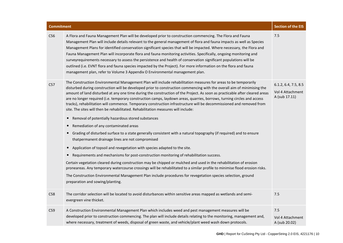| <b>Commitment</b> |                                                                                                                                                                                                                                                                                                                                                                                                                                                                                                                                                                                                                                                                                                                                                                                                                                                                                                                                                                                                                                                                                                                                                                                                                                                                                                                                                                                                                                                                                                                                                                                                                    | <b>Section of the EIS</b>                                 |
|-------------------|--------------------------------------------------------------------------------------------------------------------------------------------------------------------------------------------------------------------------------------------------------------------------------------------------------------------------------------------------------------------------------------------------------------------------------------------------------------------------------------------------------------------------------------------------------------------------------------------------------------------------------------------------------------------------------------------------------------------------------------------------------------------------------------------------------------------------------------------------------------------------------------------------------------------------------------------------------------------------------------------------------------------------------------------------------------------------------------------------------------------------------------------------------------------------------------------------------------------------------------------------------------------------------------------------------------------------------------------------------------------------------------------------------------------------------------------------------------------------------------------------------------------------------------------------------------------------------------------------------------------|-----------------------------------------------------------|
| C56               | A Flora and Fauna Management Plan will be developed prior to construction commencing. The Flora and Fauna<br>Management Plan will include details relevant to the general management of flora and fauna impacts as well as Species<br>Management Plans for identified conservation significant species that will be impacted. Where necessary, the Flora and<br>Fauna Management Plan will incorporate flora and fauna monitoring activities. Specifically, ongoing monitoring and<br>surveyrequirements necessary to assess the persistence and health of conservation significant populations will be<br>outlined (i.e. EVNT flora and fauna species impacted by the Project). For more information on the flora and fauna<br>management plan, refer to Volume 3 Appendix O Environmental management plan.                                                                                                                                                                                                                                                                                                                                                                                                                                                                                                                                                                                                                                                                                                                                                                                                       | 7.5                                                       |
| C57               | The Construction Environmental Management Plan will include rehabilitation measures for areas to be temporarily<br>disturbed during construction will be developed prior to construction commencing with the overall aim of minimising the<br>amount of land disturbed at any one time during the construction of the Project. As soon as practicable after cleared areas<br>are no longer required (i.e. temporary construction camps, laydown areas, quarries, borrows, turning circles and access<br>tracks), rehabilitation will commence. Temporary construction infrastructure will be decommissioned and removed from<br>site. The sites will then be rehabilitated. Rehabilitation measures will include:<br>Removal of potentially hazardous stored substances<br>$\bullet$<br>Remediation of any contaminated areas<br>$\bullet$<br>Grading of disturbed surface to a state generally consistent with a natural topography (if required) and to ensure<br>thatpermanent drainage lines are not compromised<br>Application of topsoil and revegetation with species adapted to the site.<br>$\bullet$<br>Requirements and mechanisms for post-construction monitoring of rehabilitation success.<br>Certain vegetation cleared during construction may be chipped or mulched and used in the rehabilitation of erosion<br>proneareas. Any temporary watercourse crossings will be rehabilitated to a similar profile to minimise flood erosion risks.<br>The Construction Environmental Management Plan include procedures for revegetation species selection, ground<br>preparation and sowing/planting. | 6.1.2, 6.4, 7.5, 8.5<br>Vol 4 Attachment<br>A (sub 17.11) |
| C58               | The corridor selection will be located to avoid disturbances within sensitive areas mapped as wetlands and semi-<br>evergreen vine thicket.                                                                                                                                                                                                                                                                                                                                                                                                                                                                                                                                                                                                                                                                                                                                                                                                                                                                                                                                                                                                                                                                                                                                                                                                                                                                                                                                                                                                                                                                        | 7.5                                                       |
| C59               | A Construction Environmental Management Plan which includes weed and pest management measures will be<br>developed prior to construction commencing. The plan will include details relating to the monitoring, management and,<br>where necessary, treatment of weeds, disposal of green waste, and vehicle/plant weed wash down protocols.                                                                                                                                                                                                                                                                                                                                                                                                                                                                                                                                                                                                                                                                                                                                                                                                                                                                                                                                                                                                                                                                                                                                                                                                                                                                        | 7.5<br>Vol 4 Attachment<br>A (sub 20.02)                  |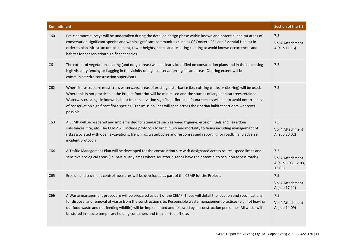| <b>Commitment</b> |                                                                                                                                                                                                                                                                                                                                                                                                                                                                                                                      | <b>Section of the EIS</b>                                |
|-------------------|----------------------------------------------------------------------------------------------------------------------------------------------------------------------------------------------------------------------------------------------------------------------------------------------------------------------------------------------------------------------------------------------------------------------------------------------------------------------------------------------------------------------|----------------------------------------------------------|
| C60               | Pre-clearance surveys will be undertaken during the detailed design phase within known and potential habitat areas of<br>conservation significant species and within significant communities such as Of Concern REs and Essential Habitat in<br>order to plan infrastructure placement, tower heights, spans and resulting clearing to avoid known occurrences and<br>habitat for conservation significant species.                                                                                                  | 7.5<br>Vol 4 Attachment<br>A (sub 11.16)                 |
| C61               | The extent of vegetation clearing (and no-go areas) will be clearly identified on construction plans and in the field using<br>high visibility fencing or flagging in the vicinity of high conservation significant areas. Clearing extent will be<br>communicatedto construction supervisors.                                                                                                                                                                                                                       | 7.5                                                      |
| C62               | Where infrastructure must cross waterways, areas of existing disturbance (i.e. existing tracks or clearing) will be used.<br>Where this is not practicable, the Project footprint will be minimised and the stumps of large habitat trees retained.<br>Waterway crossings in known habitat for conservation significant flora and fauna species will aim to avoid occurrences<br>of conservation significant flora species. Transmission lines will span across the riparian habitat corridors wherever<br>possible. | 7.5                                                      |
| C63               | A CEMP will be prepared and implemented for standards such as weed hygiene, erosion, fuels and hazardous<br>substances, fire, etc. The CEMP will include protocols to limit injury and mortality to fauna including management of<br>risksassociated with open excavations, trenching, waterbodies and responses and reporting for roadkill and adverse<br>incident protocols                                                                                                                                        | 7.5<br>Vol 4 Attachment<br>A (sub 20.02)                 |
| C64               | A Traffic Management Plan will be developed for the construction site with designated access routes, speed limits and<br>sensitive ecological areas (i.e. particularly areas where squatter pigeons have the potential to occur on access roads).                                                                                                                                                                                                                                                                    | 7.5<br>Vol 4 Attachment<br>A (sub 5.03, 12.03,<br>12.06) |
| C65               | Erosion and sediment control measures will be developed as part of the CEMP for the Project.                                                                                                                                                                                                                                                                                                                                                                                                                         | 7.5<br>Vol 4 Attachment<br>A (sub 17.11)                 |
| C66               | A Waste management procedure will be prepared as part of the CEMP. These will detail the location and specifications<br>for disposal and removal of waste from the construction site. Responsible waste management practices (e.g. not leaving<br>out food waste and not feeding wildlife) will be implemented and followed by all construction personnel. All waste will<br>be stored in secure temporary holding containers and transported off site.                                                              | 7.5<br>Vol 4 Attachment<br>A (sub 14.09)                 |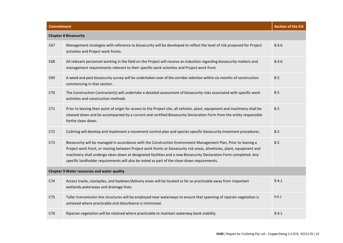| <b>Commitment</b> |                                                                                                                                                                                                                                                                                                                                                                                                                                                               | <b>Section of the EIS</b> |
|-------------------|---------------------------------------------------------------------------------------------------------------------------------------------------------------------------------------------------------------------------------------------------------------------------------------------------------------------------------------------------------------------------------------------------------------------------------------------------------------|---------------------------|
|                   | <b>Chapter 8 Biosecurity</b>                                                                                                                                                                                                                                                                                                                                                                                                                                  |                           |
| C67               | Management strategies with reference to biosecurity will be developed to reflect the level of risk proposed for Project<br>activities and Project work fronts.                                                                                                                                                                                                                                                                                                | 8.4.6                     |
| C68               | All relevant personnel working in the field on the Project will receive an induction regarding biosecurity matters and<br>management requirements relevant to their specific work activities and Project work front.                                                                                                                                                                                                                                          | 8.4.6                     |
| C69               | A weed and pest biosecurity survey will be undertaken over of the corridor selection within six months of construction<br>commencing in that section.                                                                                                                                                                                                                                                                                                         | 8.5                       |
| C70               | The Construction Contractor(s) will undertake a detailed assessment of biosecurity risks associated with specific work<br>activities and construction methods                                                                                                                                                                                                                                                                                                 | 8.5                       |
| C71               | Prior to leaving their point of origin for access to the Project site, all vehicles, plant, equipment and machinery shall be<br>cleaned down and be accompanied by a current and certified Biosecurity Declaration Form from the entity responsible<br>forthe clean down.                                                                                                                                                                                     | 8.5                       |
| C72               | CuString will develop and implement a movement control plan and species specific biosecurity treatment procedures.                                                                                                                                                                                                                                                                                                                                            | 8.5                       |
| C <sub>73</sub>   | Biosecurity will be managed in accordance with the Construction Environment Management Plan, Prior to leaving a<br>Project work front, or moving between Project work fronts or biosecurity risk areas, allvehicles, plant, equipment and<br>machinery shall undergo clean down at designated facilities and a new Biosecurity Declaration Form completed. Any<br>specific landholder requirements will also be noted as part of the clean down requirements. | 8.5                       |
|                   | <b>Chapter 9 Water resources and water quality</b>                                                                                                                                                                                                                                                                                                                                                                                                            |                           |
| C <sub>74</sub>   | Access tracks, stockpiles, and laydown/delivery areas will be located as far as practicable away from important<br>wetlands, waterways and drainage lines.                                                                                                                                                                                                                                                                                                    | 9.4.1                     |
| C75               | Taller transmission line structures will be employed near waterways to ensure that spanning of riparian vegetation is<br>achieved where practicable and disturbance is minimised.                                                                                                                                                                                                                                                                             | 9.4.1                     |
| C76               | Riparian vegetation will be retained where practicable to maintain waterway bank stability.                                                                                                                                                                                                                                                                                                                                                                   | 9.4.1                     |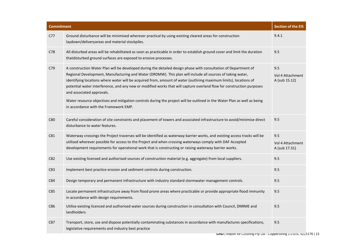| <b>Commitment</b> |                                                                                                                                                                                                                                                                                                                                                                                                                                                                                                                                                                                                                                                                               | <b>Section of the EIS</b>                |
|-------------------|-------------------------------------------------------------------------------------------------------------------------------------------------------------------------------------------------------------------------------------------------------------------------------------------------------------------------------------------------------------------------------------------------------------------------------------------------------------------------------------------------------------------------------------------------------------------------------------------------------------------------------------------------------------------------------|------------------------------------------|
| C77               | Ground disturbance will be minimised wherever practical by using existing cleared areas for construction<br>laydown/deliveryareas and material stockpiles.                                                                                                                                                                                                                                                                                                                                                                                                                                                                                                                    | 9.4.1                                    |
| C78               | All disturbed areas will be rehabilitated as soon as practicable in order to establish ground cover and limit the duration<br>thatdisturbed ground surfaces are exposed to erosive processes.                                                                                                                                                                                                                                                                                                                                                                                                                                                                                 | 9.5                                      |
| C79               | A construction Water Plan will be developed during the detailed design phase with consultation of Department of<br>Regional Development, Manufacturing and Water (DRDMW). This plan will include all sources of taking water,<br>identifying locations where water will be acquired from, amount of water (outlining maximum limits), locations of<br>potential water interference, and any new or modified works that will capture overland flow for construction purposes<br>and associated approvals.<br>Water resource objectives and mitigation controls during the project will be outlined in the Water Plan as well as being<br>in accordance with the Framework EMP. | 9.5<br>Vol 4 Attachment<br>A (sub 15.12) |
| C80               | Careful consideration of site constraints and placement of towers and associated infrastructure to avoid/minimise direct<br>disturbance to water features.                                                                                                                                                                                                                                                                                                                                                                                                                                                                                                                    | 9.5                                      |
| C81               | Waterway crossings the Project traverses will be identified as waterway barrier works, and existing access tracks will be<br>utilised wherever possible for access to the Project and when crossing waterways comply with DAF Accepted<br>development requirements for operational work that is constructing or raising waterway barrier works.                                                                                                                                                                                                                                                                                                                               | 9.5<br>Vol 4 Attachment<br>A (sub 17.31) |
| C82               | Use existing licensed and authorised sources of construction material (e.g. aggregate) from local suppliers.                                                                                                                                                                                                                                                                                                                                                                                                                                                                                                                                                                  | 9.5                                      |
| C83               | Implement best practice erosion and sediment controls during construction.                                                                                                                                                                                                                                                                                                                                                                                                                                                                                                                                                                                                    | 9.5                                      |
| C84               | Design temporary and permanent infrastructure with industry standard stormwater management controls.                                                                                                                                                                                                                                                                                                                                                                                                                                                                                                                                                                          | 9.5                                      |
| C85               | Locate permanent infrastructure away from flood prone areas where practicable or provide appropriate flood immunity<br>in accordance with design requirements.                                                                                                                                                                                                                                                                                                                                                                                                                                                                                                                | 9.5                                      |
| C86               | Utilise existing licenced and authorised water sources during construction in consultation with Council, DNRME and<br>landholders                                                                                                                                                                                                                                                                                                                                                                                                                                                                                                                                             | 9.5                                      |
| C87               | Transport, store, use and dispose potentially contaminating substances in accordance with manufactures specifications,<br>legislative requirements and industry best practice                                                                                                                                                                                                                                                                                                                                                                                                                                                                                                 | 9.5                                      |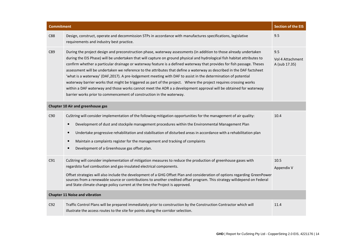| <b>Commitment</b>                     |                                                                                                                                                                                                                                                                                                                                                                                                                                                                                                                                                                                                                                                                                                                                                                                                                                                                                                                                     | <b>Section of the EIS</b>                |
|---------------------------------------|-------------------------------------------------------------------------------------------------------------------------------------------------------------------------------------------------------------------------------------------------------------------------------------------------------------------------------------------------------------------------------------------------------------------------------------------------------------------------------------------------------------------------------------------------------------------------------------------------------------------------------------------------------------------------------------------------------------------------------------------------------------------------------------------------------------------------------------------------------------------------------------------------------------------------------------|------------------------------------------|
| C88                                   | Design, construct, operate and decommission STPs in accordance with manufactures specifications, legislative<br>requirements and industry best practice.                                                                                                                                                                                                                                                                                                                                                                                                                                                                                                                                                                                                                                                                                                                                                                            | 9.5                                      |
| C89                                   | During the project design and preconstruction phase, waterway assessments (in addition to those already undertaken<br>during the EIS Phase) will be undertaken that will capture on ground physical and hydrological fish habitat attributes to<br>confirm whether a particular drainage or waterway feature is a defined waterway that provides for fish passage. Theses<br>assessment will be undertaken we reference to the attributes that define a waterway as described in the DAF factsheet<br>'what is a waterway' (DAF,2017). A pre-lodgement meeting with DAF to assist in the determination of potential<br>waterway barrier works that might be triggered as part of the project. Where the project requires crossing works<br>within a DAF waterway and those works cannot meet the ADR a a development approval will be obtained for waterway<br>barrier works prior to commencement of construction in the waterway. | 9.5<br>Vol 4 Attachment<br>A (sub 17.35) |
|                                       | <b>Chapter 10 Air and greenhouse gas</b>                                                                                                                                                                                                                                                                                                                                                                                                                                                                                                                                                                                                                                                                                                                                                                                                                                                                                            |                                          |
| C90                                   | CuString will consider implementation of the following mitigation opportunities for the management of air quality:<br>Development of dust and stockpile management procedures within the Environmental Management Plan<br>$\bullet$<br>Undertake progressive rehabilitation and stabilisation of disturbed areas in accordance with a rehabilitation plan<br>$\bullet$<br>Maintain a complaints register for the management and tracking of complaints<br>$\bullet$<br>Development of a Greenhouse gas offset plan.<br>$\bullet$                                                                                                                                                                                                                                                                                                                                                                                                    | 10.4                                     |
| C91                                   | CuString will consider implementation of mitigation measures to reduce the production of greenhouse gases with<br>regardsto fuel combustion and gas-insulated electrical components.<br>Offset strategies will also include the development of a GHG Offset Plan and consideration of options regarding GreenPower<br>sources from a renewable source or contributions to another credited offset program. This strategy willdepend on Federal<br>and State climate change policy current at the time the Project is approved.                                                                                                                                                                                                                                                                                                                                                                                                      | 10.5<br>Appendix V                       |
| <b>Chapter 11 Noise and vibration</b> |                                                                                                                                                                                                                                                                                                                                                                                                                                                                                                                                                                                                                                                                                                                                                                                                                                                                                                                                     |                                          |
| C92                                   | Traffic Control Plans will be prepared immediately prior to construction by the Construction Contractor which will<br>illustrate the access routes to the site for points along the corridor selection.                                                                                                                                                                                                                                                                                                                                                                                                                                                                                                                                                                                                                                                                                                                             | 11.4                                     |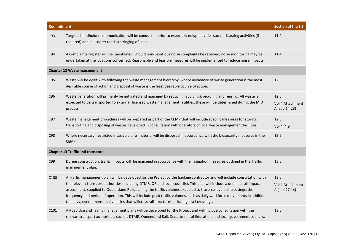| <b>Commitment</b> |                                                                                                                                                                                                                                                                                                                                                                                                                                                                                                                                                                                                           | <b>Section of the EIS</b>                 |
|-------------------|-----------------------------------------------------------------------------------------------------------------------------------------------------------------------------------------------------------------------------------------------------------------------------------------------------------------------------------------------------------------------------------------------------------------------------------------------------------------------------------------------------------------------------------------------------------------------------------------------------------|-------------------------------------------|
| C93               | Targeted landholder communication will be conducted prior to especially noisy activities such as blasting activities (if<br>required) and helicopter (aerial) stringing of lines.                                                                                                                                                                                                                                                                                                                                                                                                                         | 11.4                                      |
| C94               | A complaints register will be maintained. Should non-vexatious noise complaints be received, noise monitoring may be<br>undertaken at the locations concerned. Reasonable and feasible measures will be implemented to reduce noise impacts.                                                                                                                                                                                                                                                                                                                                                              | 11.4                                      |
|                   | <b>Chapter 12 Waste management</b>                                                                                                                                                                                                                                                                                                                                                                                                                                                                                                                                                                        |                                           |
| C95               | Waste will be dealt with following the waste management hierarchy, where avoidance of waste generation is the most<br>desirable course of action and disposal of waste is the least desirable course of action.                                                                                                                                                                                                                                                                                                                                                                                           | 12.5                                      |
| C96               | Waste generation will primarily be mitigated and managed by reducing (avoiding), recycling and reusing. All waste is<br>expected to be transported to external licensed waste management facilities, these will be determined during the MID<br>process.                                                                                                                                                                                                                                                                                                                                                  | 12.5<br>Vol 4 Attachment<br>A (sub 14.23) |
| C97               | Waste management procedures will be prepared as part of the CEMP that will include specific measures for storing,<br>transporting and disposing of wastes developed in consultation with operators of local waste management facilities.                                                                                                                                                                                                                                                                                                                                                                  | 12.5<br>Vol 4, 4.9                        |
| C98               | Where necessary, restricted invasive plants material will be disposed in accordance with the biosecurity measures in the<br>CEMP.                                                                                                                                                                                                                                                                                                                                                                                                                                                                         | 12.5                                      |
|                   | <b>Chapter 13 Traffic and transport</b>                                                                                                                                                                                                                                                                                                                                                                                                                                                                                                                                                                   |                                           |
| C99               | During construction, traffic impacts will be managed in accordance with the mitigation measures outlined in the Traffic<br>management plan.                                                                                                                                                                                                                                                                                                                                                                                                                                                               | 13.5                                      |
| C100              | A Traffic management plan will be developed for the Project by the haulage contractor and will include consultation with<br>the relevant transport authorities (including DTMR, QR and local councils). This plan will include a detailed rail impact<br>assessment, supplied to Queensland Raildetailing the traffic volumes expected to traverse level rail crossings, the<br>frequency and period of operation. This will include peak traffic volumes, such as daily workforce movements in addition<br>to heavy, over dimensional vehicles that willcross rail structures including level crossings. | 13.6<br>Vol 4 Attachment<br>A (sub 27.14) |
| C <sub>101</sub>  | A Road Use and Traffic management plans will be developed for the Project and will include consultation with the<br>relevanttransport authorities, such as DTMR, Queensland Rail, Department of Education, and local government councils.                                                                                                                                                                                                                                                                                                                                                                 | 13.6                                      |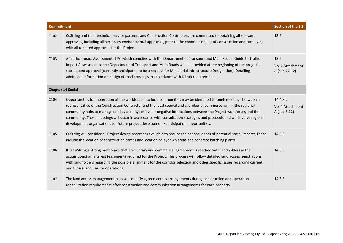| <b>Commitment</b>        |                                                                                                                                                                                                                                                                                                                                                                                                                                                                                                                                                                                | <b>Section of the EIS</b>                    |
|--------------------------|--------------------------------------------------------------------------------------------------------------------------------------------------------------------------------------------------------------------------------------------------------------------------------------------------------------------------------------------------------------------------------------------------------------------------------------------------------------------------------------------------------------------------------------------------------------------------------|----------------------------------------------|
| C102                     | CuString and their technical service partners and Construction Contractors are committed to obtaining all relevant<br>approvals, including all necessary environmental approvals, prior to the commencement of construction and complying<br>with all required approvals for the Project.                                                                                                                                                                                                                                                                                      | 13.6                                         |
| C <sub>103</sub>         | A Traffic Impact Assessment (TIA) which complies with the Department of Transport and Main Roads' Guide to Traffic<br>Impact Assessment to the Department of Transport and Main Roads will be provided at the beginning of the project's<br>subsequent approval (currently anticipated to be a request for Ministerial Infrastructure Designation). Detailing<br>additional information on design of road crossings in accordance with DTMR requirements.                                                                                                                      | 13.6<br>Vol 4 Attachment<br>A (sub 27.12)    |
| <b>Chapter 14 Social</b> |                                                                                                                                                                                                                                                                                                                                                                                                                                                                                                                                                                                |                                              |
| C104                     | Opportunities for integration of the workforce into local communities may be identified through meetings between a<br>representative of the Construction Contractor and the local council and chamber of commerce within the regional<br>community hubs to manage or alleviate anypositive or negative interactions between the Project workforces and the<br>community. These meetings will occur in accordance with consultation strategies and protocols and will involve regional<br>development organisations for future project development/participation opportunities. | 14.4.3.2<br>Vol 4 Attachment<br>A (sub 5.12) |
| C <sub>105</sub>         | CuString will consider all Project design processes available to reduce the consequences of potential social impacts. These<br>include the location of construction camps and location of laydown areas and concrete batching plants.                                                                                                                                                                                                                                                                                                                                          | 14.5.3                                       |
| C <sub>106</sub>         | It is CuString's strong preference that a voluntary and commercial agreement is reached with landholders in the<br>acquisitionof an interest (easement) required for the Project. This process will follow detailed land access negotiations<br>with landholders regarding the possible alignment for the corridor selection and other specific issues regarding current<br>and future land uses or operations.                                                                                                                                                                | 14.5.3                                       |
| C <sub>107</sub>         | The land access management plan will identify agreed access arrangements during construction and operation,<br>rehabilitation requirements after construction and communication arrangements for each property.                                                                                                                                                                                                                                                                                                                                                                | 14.5.3                                       |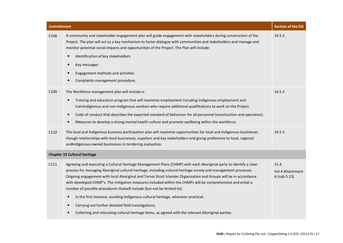| <b>Commitment</b> |                                                                                                                                                                                                                                                                                                                                                                                                                                                                                                                                                                                                                                                                                                                                                                                                                    | <b>Section of the EIS</b>                |
|-------------------|--------------------------------------------------------------------------------------------------------------------------------------------------------------------------------------------------------------------------------------------------------------------------------------------------------------------------------------------------------------------------------------------------------------------------------------------------------------------------------------------------------------------------------------------------------------------------------------------------------------------------------------------------------------------------------------------------------------------------------------------------------------------------------------------------------------------|------------------------------------------|
| C108              | A community and stakeholder engagement plan will guide engagement with stakeholders during construction of the<br>Project. The plan will act as a key mechanism to foster dialogue with communities and stakeholders and manage and<br>monitor potential social impacts and opportunities of the Project. The Plan will include:<br>Identification of key stakeholders<br>Key messages<br>Engagement methods and activities<br>$\bullet$<br>Complaints management procedure.                                                                                                                                                                                                                                                                                                                                       | 14.5.3                                   |
| C109              | The Workforce management plan will include a:<br>Training and education program that will maximise employment including indigenous employment and<br>trainindigenous and non-indigenous workers who require additional qualifications to work on the Project.<br>Code of conduct that describes the expected standard of behaviour for all personnel (construction and operation).<br>Measures to develop a strong mental health culture and promote wellbeing within the workforce.                                                                                                                                                                                                                                                                                                                               | 14.5.3                                   |
| C110              | The local and Indigenous business participation plan will maximise opportunities for local and Indigenous businesses<br>though relationships with local businesses, suppliers and key stakeholders and giving preference to local, regional<br>andIndigenous-owned businesses in tendering evaluation.                                                                                                                                                                                                                                                                                                                                                                                                                                                                                                             | 14.5.3                                   |
|                   | <b>Chapter 15 Cultural heritage</b>                                                                                                                                                                                                                                                                                                                                                                                                                                                                                                                                                                                                                                                                                                                                                                                |                                          |
| C111              | Agreeing and executing a Cultural Heritage Management Plans (CHMP) with each Aboriginal party to identify a clear<br>process for managing Aboriginal cultural heritage, including cultural heritage survey and management processes.<br>Ongoing engagement with local Aboriginal and Torres Strait Islander Organisation and Groups will be in accordance<br>with developed CHMP's. The mitigation measures included within the CHMPs will be comprehensive and entail a<br>number of possible procedures that will include (but not be limited to):<br>In the first instance, avoiding Indigenous cultural heritage, wherever practical;<br>$\bullet$<br>Carrying out further detailed field investigations;<br>Collecting and relocating cultural heritage items, as agreed with the relevant Aboriginal parties | 15.4<br>Vol 4 Attachment<br>A (sub 5.13) |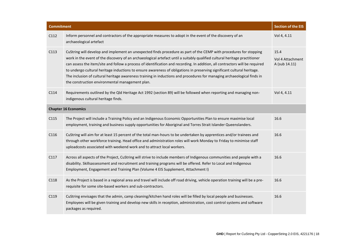| <b>Commitment</b> |                                                                                                                                                                                                                                                                                                                                                                                                                                                                                                                                                                                                                                                                                           | <b>Section of the EIS</b>                 |
|-------------------|-------------------------------------------------------------------------------------------------------------------------------------------------------------------------------------------------------------------------------------------------------------------------------------------------------------------------------------------------------------------------------------------------------------------------------------------------------------------------------------------------------------------------------------------------------------------------------------------------------------------------------------------------------------------------------------------|-------------------------------------------|
| C112              | Inform personnel and contractors of the appropriate measures to adopt in the event of the discovery of an<br>archaeological artefact                                                                                                                                                                                                                                                                                                                                                                                                                                                                                                                                                      | Vol 4, 4.11                               |
| C113              | CuString will develop and implement an unexpected finds procedure as part of the CEMP with procedures for stopping<br>work in the event of the discovery of an archaeological artefact until a suitably qualified cultural heritage practitioner<br>can assess the item/site and follow a process of identification and recording. In addition, all contractors will be required<br>to undergo cultural heritage inductions to ensure awareness of obligations in preserving significant cultural heritage.<br>The inclusion of cultural heritage awareness training in inductions and procedures for managing archaeological finds in<br>the construction environmental management plan. | 15.4<br>Vol 4 Attachment<br>A (sub 14.11) |
| C114              | Requirements outlined by the Qld Heritage Act 1992 (section 89) will be followed when reporting and managing non-<br>indigenous cultural heritage finds.                                                                                                                                                                                                                                                                                                                                                                                                                                                                                                                                  | Vol 4, 4.11                               |
|                   | <b>Chapter 16 Economics</b>                                                                                                                                                                                                                                                                                                                                                                                                                                                                                                                                                                                                                                                               |                                           |
| C115              | The Project will include a Training Policy and an Indigenous Economic Opportunities Plan to ensure maximise local<br>employment, training and business supply opportunities for Aboriginal and Torres Strait Islander Queenslanders.                                                                                                                                                                                                                                                                                                                                                                                                                                                      | 16.6                                      |
| C116              | CuString will aim for at least 15 percent of the total man-hours to be undertaken by apprentices and/or trainees and<br>through other workforce training. Head office and administration roles will work Monday to Friday to minimise staff<br>uploadcosts associated with weekend work and to attract local workers.                                                                                                                                                                                                                                                                                                                                                                     | 16.6                                      |
| C117              | Across all aspects of the Project, CuString will strive to include members of Indigenous communities and people with a<br>disability. Skillsassessment and recruitment and training programs will be offered. Refer to Local and Indigenous<br>Employment, Engagement and Training Plan (Volume 4 EIS Supplement, Attachment I)                                                                                                                                                                                                                                                                                                                                                           | 16.6                                      |
| C118              | As the Project is based in a regional area and travel will include off road driving, vehicle operation training will be a pre-<br>requisite for some site-based workers and sub-contractors.                                                                                                                                                                                                                                                                                                                                                                                                                                                                                              | 16.6                                      |
| C119              | CuString envisages that the admin, camp cleaning/kitchen hand roles will be filled by local people and businesses.<br>Employees will be given training and develop new skills in reception, administration, cost control systems and software<br>packages as required.                                                                                                                                                                                                                                                                                                                                                                                                                    | 16.6                                      |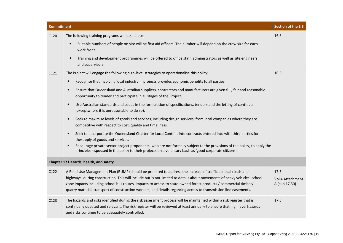| <b>Commitment</b> |                                                                                                                                                                                                                                                                                                                                                                                                                                                                                                                                                                                                                                                                                                                                                                                                                                                                                                                                                                                                                                                                                                                                                                                                     | <b>Section of the EIS</b>                 |
|-------------------|-----------------------------------------------------------------------------------------------------------------------------------------------------------------------------------------------------------------------------------------------------------------------------------------------------------------------------------------------------------------------------------------------------------------------------------------------------------------------------------------------------------------------------------------------------------------------------------------------------------------------------------------------------------------------------------------------------------------------------------------------------------------------------------------------------------------------------------------------------------------------------------------------------------------------------------------------------------------------------------------------------------------------------------------------------------------------------------------------------------------------------------------------------------------------------------------------------|-------------------------------------------|
| C120              | The following training programs will take place:<br>Suitable numbers of people on site will be first aid officers. The number will depend on the crew size for each<br>$\bullet$<br>work front.<br>Training and development programmes will be offered to office staff, administrators as well as site engineers<br>$\bullet$<br>and supervisors                                                                                                                                                                                                                                                                                                                                                                                                                                                                                                                                                                                                                                                                                                                                                                                                                                                    | 16.6                                      |
| C121              | The Project will engage the following high-level strategies to operationalise this policy:<br>Recognise that involving local industry in projects provides economic benefits to all parties.<br>$\bullet$<br>Ensure that Queensland and Australian suppliers, contractors and manufacturers are given full, fair and reasonable<br>$\bullet$<br>opportunity to tender and participate in all stages of the Project.<br>Use Australian standards and codes in the formulation of specifications, tenders and the letting of contracts<br>$\bullet$<br>(exceptwhere it is unreasonable to do so).<br>Seek to maximise levels of goods and services, including design services, from local companies where they are<br>competitive with respect to cost, quality and timeliness.<br>Seek to incorporate the Queensland Charter for Local Content into contracts entered into with third parties for<br>$\bullet$<br>thesupply of goods and services.<br>Encourage private sector project proponents, who are not formally subject to the provisions of the policy, to apply the<br>$\bullet$<br>principles espoused in the policy to their projects on a voluntary basis as 'good corporate citizens'. | 16.6                                      |
|                   | Chapter 17 Hazards, health, and safety                                                                                                                                                                                                                                                                                                                                                                                                                                                                                                                                                                                                                                                                                                                                                                                                                                                                                                                                                                                                                                                                                                                                                              |                                           |
| C122              | A Road Use Management Plan (RUMP) should be prepared to address the increase of traffic on local roads and<br>highways during construction. This will include but is not limited to details about movements of heavy vehicles, school<br>zone impacts including school bus routes, impacts to access to state-owned forest products / commercial timber/<br>quarry material, transport of construction workers, and details regarding access to transmission line easements.                                                                                                                                                                                                                                                                                                                                                                                                                                                                                                                                                                                                                                                                                                                        | 17.5<br>Vol 4 Attachment<br>A (sub 17.30) |
| C123              | The hazards and risks identified during the risk assessment process will be maintained within a risk register that is<br>continually updated and relevant. The risk register will be reviewed at least annually to ensure that high level hazards<br>and risks continue to be adequately controlled.                                                                                                                                                                                                                                                                                                                                                                                                                                                                                                                                                                                                                                                                                                                                                                                                                                                                                                | 17.5                                      |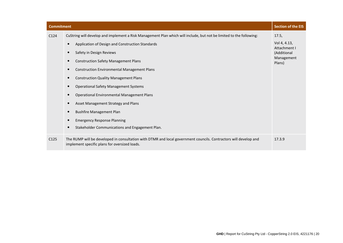| <b>Commitment</b> |                                                                                                                                                                                                                                                                                                                                                                                                                                                                                                                                                                                                                                                                                                                                          | <b>Section of the EIS</b>                                                    |
|-------------------|------------------------------------------------------------------------------------------------------------------------------------------------------------------------------------------------------------------------------------------------------------------------------------------------------------------------------------------------------------------------------------------------------------------------------------------------------------------------------------------------------------------------------------------------------------------------------------------------------------------------------------------------------------------------------------------------------------------------------------------|------------------------------------------------------------------------------|
| C <sub>124</sub>  | CuString will develop and implement a Risk Management Plan which will include, but not be limited to the following:<br>Application of Design and Construction Standards<br>$\bullet$<br>Safety in Design Reviews<br>$\bullet$<br><b>Construction Safety Management Plans</b><br>$\bullet$<br><b>Construction Environmental Management Plans</b><br>$\bullet$<br><b>Construction Quality Management Plans</b><br>$\bullet$<br><b>Operational Safety Management Systems</b><br>$\bullet$<br><b>Operational Environmental Management Plans</b><br>$\bullet$<br>Asset Management Strategy and Plans<br><b>Bushfire Management Plan</b><br><b>Emergency Response Planning</b><br>Stakeholder Communications and Engagement Plan.<br>$\bullet$ | 17.5.<br>Vol 4, 4.13,<br>Attachment I<br>(Additional<br>Management<br>Plans) |
| C125              | The RUMP will be developed in consultation with DTMR and local government councils. Contractors will develop and<br>implement specific plans for oversized loads.                                                                                                                                                                                                                                                                                                                                                                                                                                                                                                                                                                        | 17.3.9                                                                       |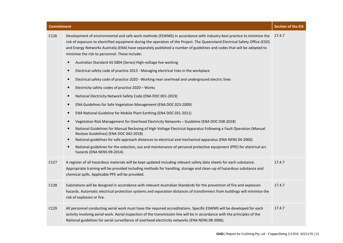| C <sub>126</sub> | Development of environmental and safe work methods (ESWMS) in accordance with industry best practice to minimise the<br>risk of exposure to electrified equipment during the operation of the Project. The Queensland Electrical Safety Office (ESO)<br>and Energy Networks Australia (ENA) have separately published a number of guidelines and codes that will be adopted to<br>minimise the risk to personnel. These include: | 17.4.7 |
|------------------|----------------------------------------------------------------------------------------------------------------------------------------------------------------------------------------------------------------------------------------------------------------------------------------------------------------------------------------------------------------------------------------------------------------------------------|--------|
|                  | Australian Standard AS 5804 (Series) High-voltage live working<br>$\bullet$                                                                                                                                                                                                                                                                                                                                                      |        |
|                  | Electrical safety code of practice 2013 - Managing electrical risks in the workplace<br>$\bullet$                                                                                                                                                                                                                                                                                                                                |        |
|                  | Electrical safety code of practice 2020 - Working near overhead and underground electric lines<br>$\bullet$                                                                                                                                                                                                                                                                                                                      |        |
|                  | Electricity safety codes of practice 2020 - Works<br>$\bullet$                                                                                                                                                                                                                                                                                                                                                                   |        |
|                  | National Electricity Network Safety Code (ENA DOC 001-2019)<br>$\bullet$                                                                                                                                                                                                                                                                                                                                                         |        |
|                  | ENA Guidelines for Safe Vegetation Management (ENA DOC 023-2009)<br>$\bullet$                                                                                                                                                                                                                                                                                                                                                    |        |
|                  | ENA National Guideline for Mobile Plant Earthing (ENA DOC 031-2011)<br>$\bullet$                                                                                                                                                                                                                                                                                                                                                 |        |
|                  | Vegetation Risk Management for Overhead Electricity Networks - Guideline (ENA DOC 038-2018)<br>$\bullet$                                                                                                                                                                                                                                                                                                                         |        |
|                  | National Guidelines for Manual Reclosing of High Voltage Electrical Apparatus Following a Fault Operation (Manual<br>$\bullet$<br>Reclose Guidelines) (ENA DOC 042-2018)                                                                                                                                                                                                                                                         |        |
|                  | National guidelines for safe approach distances to electrical and mechanical apparatus (ENA NENS 04-2006)<br>$\bullet$                                                                                                                                                                                                                                                                                                           |        |
|                  | National guidelines for the selection, use and maintenance of personal protective equipment (PPE) for electrical arc<br>$\bullet$<br>hazards (ENA NENS 09-2014).                                                                                                                                                                                                                                                                 |        |
| C127             | A register of all hazardous materials will be kept updated including relevant safety data sheets for each substance.<br>Appropriate training will be provided including methods for handling, storage and clean-up of hazardous substance and<br>chemical spills. Applicable PPE will be provided.                                                                                                                               | 17.4.7 |
| C <sub>128</sub> | Substations will be designed in accordance with relevant Australian Standards for the prevention of fire and explosion<br>hazards. Automatic electrical protection systems and separation distances of transformers from buildings will minimise the<br>risk of explosion or fire.                                                                                                                                               | 17.4.7 |
| C129             | All personnel conducting aerial work must have the required accreditations. Specific ESWMS will be developed for each<br>activity involving aerial work. Aerial inspection of the transmission line will be in accordance with the principles of the                                                                                                                                                                             | 17.4.7 |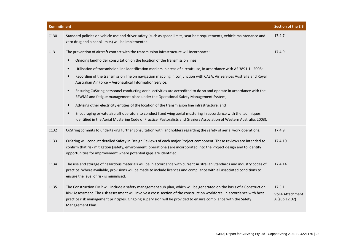| <b>Commitment</b> |                                                                                                                                                                                                                                                                                                                                                                                                                                                                                                                                                                                                                                                                                                                                                                                                                                                                                                                                                                                                                                                                                                                                 | <b>Section of the EIS</b>                   |
|-------------------|---------------------------------------------------------------------------------------------------------------------------------------------------------------------------------------------------------------------------------------------------------------------------------------------------------------------------------------------------------------------------------------------------------------------------------------------------------------------------------------------------------------------------------------------------------------------------------------------------------------------------------------------------------------------------------------------------------------------------------------------------------------------------------------------------------------------------------------------------------------------------------------------------------------------------------------------------------------------------------------------------------------------------------------------------------------------------------------------------------------------------------|---------------------------------------------|
| C130              | Standard policies on vehicle use and driver safety (such as speed limits, seat belt requirements, vehicle maintenance and<br>zero drug and alcohol limits) will be implemented.                                                                                                                                                                                                                                                                                                                                                                                                                                                                                                                                                                                                                                                                                                                                                                                                                                                                                                                                                 | 17.4.7                                      |
| C131              | The prevention of aircraft contact with the transmission infrastructure will incorporate:<br>Ongoing landholder consultation on the location of the transmission lines;<br>$\bullet$<br>Utilisation of transmission line identification markers in areas of aircraft use, in accordance with AS 3891.1-2008;<br>$\bullet$<br>Recording of the transmission line on navigation mapping in conjunction with CASA, Air Services Australia and Royal<br>$\bullet$<br>Australian Air Force - Aeronautical Information Service;<br>Ensuring CuString personnel conducting aerial activities are accredited to do so and operate in accordance with the<br>$\bullet$<br>ESWMS and fatigue management plans under the Operational Safety Management System;<br>Advising other electricity entities of the location of the transmission line infrastructure; and<br>$\bullet$<br>Encouraging private aircraft operators to conduct fixed wing aerial mustering in accordance with the techniques<br>$\bullet$<br>identified in the Aerial Mustering Code of Practice (Pastoralists and Graziers Association of Western Australia, 2003). | 17.4.9                                      |
| C132              | CuString commits to undertaking further consultation with landholders regarding the safety of aerial work operations.                                                                                                                                                                                                                                                                                                                                                                                                                                                                                                                                                                                                                                                                                                                                                                                                                                                                                                                                                                                                           | 17.4.9                                      |
| C133              | CuString will conduct detailed Safety in Design Reviews of each major Project component. These reviews are intended to<br>confirm that risk mitigation (safety, environment, operational) are incorporated into the Project design and to identify<br>opportunities for improvement where potential gaps are identified.                                                                                                                                                                                                                                                                                                                                                                                                                                                                                                                                                                                                                                                                                                                                                                                                        | 17.4.10                                     |
| C134              | The use and storage of hazardous materials will be in accordance with current Australian Standards and industry codes of<br>practice. Where available, provisions will be made to include licences and compliance with all associated conditions to<br>ensure the level of risk is minimised.                                                                                                                                                                                                                                                                                                                                                                                                                                                                                                                                                                                                                                                                                                                                                                                                                                   | 17.4.14                                     |
| C135              | The Construction EMP will include a safety management sub plan, which will be generated on the basis of a Construction<br>Risk Assessment. The risk assessment will involve a cross section of the construction workforce, in accordance with best<br>practice risk management principles. Ongoing supervision will be provided to ensure compliance with the Safety<br>Management Plan.                                                                                                                                                                                                                                                                                                                                                                                                                                                                                                                                                                                                                                                                                                                                        | 17.5.1<br>Vol 4 Attachment<br>A (sub 12.02) |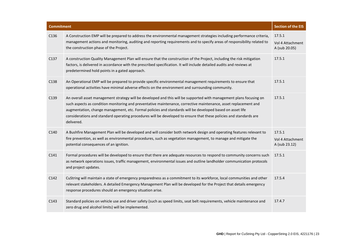| <b>Commitment</b> |                                                                                                                                                                                                                                                                                                                                                                                                                                                                                          | <b>Section of the EIS</b>                   |
|-------------------|------------------------------------------------------------------------------------------------------------------------------------------------------------------------------------------------------------------------------------------------------------------------------------------------------------------------------------------------------------------------------------------------------------------------------------------------------------------------------------------|---------------------------------------------|
| C136              | A Construction EMP will be prepared to address the environmental management strategies including performance criteria,<br>management actions and monitoring, auditing and reporting requirements and to specify areas of responsibility related to<br>the construction phase of the Project.                                                                                                                                                                                             | 17.5.1<br>Vol 4 Attachment<br>A (sub 20.05) |
| C137              | A construction Quality Management Plan will ensure that the construction of the Project, including the risk mitigation<br>factors, is delivered in accordance with the prescribed specification. It will include detailed audits and reviews at<br>predetermined hold points in a gated approach.                                                                                                                                                                                        | 17.5.1                                      |
| C138              | An Operational EMP will be prepared to provide specific environmental management requirements to ensure that<br>operational activities have minimal adverse effects on the environment and surrounding community.                                                                                                                                                                                                                                                                        | 17.5.1                                      |
| C139              | An overall asset management strategy will be developed and this will be supported with management plans focusing on<br>such aspects as condition monitoring and preventative maintenance, corrective maintenance, asset replacement and<br>augmentation, change management, etc. Formal policies and standards will be developed based on asset life<br>considerations and standard operating procedures will be developed to ensure that these policies and standards are<br>delivered. | 17.5.1                                      |
| C140              | A Bushfire Management Plan will be developed and will consider both network design and operating features relevant to<br>fire prevention, as well as environmental procedures, such as vegetation management, to manage and mitigate the<br>potential consequences of an ignition.                                                                                                                                                                                                       | 17.5.1<br>Vol 4 Attachment<br>A (sub 23.12) |
| C141              | Formal procedures will be developed to ensure that there are adequate resources to respond to community concerns such<br>as network operations issues, traffic management, environmental issues and outline landholder communication protocols<br>and project updates.                                                                                                                                                                                                                   | 17.5.1                                      |
| C142              | CuString will maintain a state of emergency preparedness as a commitment to its workforce, local communities and other<br>relevant stakeholders. A detailed Emergency Management Plan will be developed for the Project that details emergency<br>response procedures should an emergency situation arise.                                                                                                                                                                               | 17.5.4                                      |
| C <sub>143</sub>  | Standard policies on vehicle use and driver safety (such as speed limits, seat belt requirements, vehicle maintenance and<br>zero drug and alcohol limits) will be implemented.                                                                                                                                                                                                                                                                                                          | 17.4.7                                      |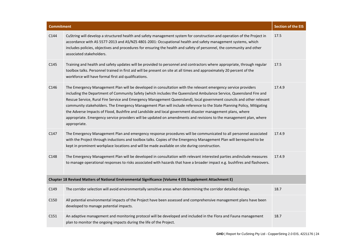| <b>Commitment</b>                                                                                        |                                                                                                                                                                                                                                                                                                                                                                                                                                                                                                                                                                                                                                                                                                                                           | <b>Section of the EIS</b> |
|----------------------------------------------------------------------------------------------------------|-------------------------------------------------------------------------------------------------------------------------------------------------------------------------------------------------------------------------------------------------------------------------------------------------------------------------------------------------------------------------------------------------------------------------------------------------------------------------------------------------------------------------------------------------------------------------------------------------------------------------------------------------------------------------------------------------------------------------------------------|---------------------------|
| C144                                                                                                     | CuString will develop a structured health and safety management system for construction and operation of the Project in<br>accordance with AS 5577-2013 and AS/NZS 4801-2001: Occupational health and safety management systems, which<br>includes policies, objectives and procedures for ensuring the health and safety of personnel, the community and other<br>associated stakeholders.                                                                                                                                                                                                                                                                                                                                               | 17.5                      |
| C145                                                                                                     | Training and health and safety updates will be provided to personnel and contractors where appropriate, through regular<br>toolbox talks. Personnel trained in first aid will be present on site at all times and approximately 20 percent of the<br>workforce will have formal first aid qualifications.                                                                                                                                                                                                                                                                                                                                                                                                                                 | 17.5                      |
| C146                                                                                                     | The Emergency Management Plan will be developed in consultation with the relevant emergency service providers<br>including the Department of Community Safety (which includes the Queensland Ambulance Service, Queensland Fire and<br>Rescue Service, Rural Fire Service and Emergency Management Queensland), local government councils and other relevant<br>community stakeholders. The Emergency Management Plan will include reference to the State Planning Policy, Mitigating<br>the Adverse Impacts of Flood, Bushfire and Landslide and local government disaster management plans, where<br>appropriate. Emergency service providers will be updated on amendments and revisions to the management plan, where<br>appropriate. | 17.4.9                    |
| C147                                                                                                     | The Emergency Management Plan and emergency response procedures will be communicated to all personnel associated<br>with the Project through inductions and toolbox talks. Copies of the Emergency Management Plan will berequired to be<br>kept in prominent workplace locations and will be made available on site during construction.                                                                                                                                                                                                                                                                                                                                                                                                 | 17.4.9                    |
| C <sub>148</sub>                                                                                         | The Emergency Management Plan will be developed in consultation with relevant interested parties andinclude measures<br>to manage operational responses to risks associated with hazards that have a broader impact e.g. bushfires and flashovers.                                                                                                                                                                                                                                                                                                                                                                                                                                                                                        | 17.4.9                    |
| Chapter 18 Revised Matters of National Environmental Significance (Volume 4 EIS Supplement Attachment E) |                                                                                                                                                                                                                                                                                                                                                                                                                                                                                                                                                                                                                                                                                                                                           |                           |
| C149                                                                                                     | The corridor selection will avoid environmentally sensitive areas when determining the corridor detailed design.                                                                                                                                                                                                                                                                                                                                                                                                                                                                                                                                                                                                                          | 18.7                      |
| C150                                                                                                     | All potential environmental impacts of the Project have been assessed and comprehensive management plans have been<br>developed to manage potential impacts.                                                                                                                                                                                                                                                                                                                                                                                                                                                                                                                                                                              |                           |
| C151                                                                                                     | An adaptive management and monitoring protocol will be developed and included in the Flora and Fauna management<br>plan to monitor the ongoing impacts during the life of the Project.                                                                                                                                                                                                                                                                                                                                                                                                                                                                                                                                                    | 18.7                      |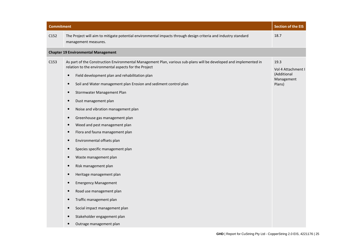| <b>Commitment</b> |                                                                                                                                                                                                                                                                                                                                                                                                                                                                                                                                                                                                                                                                                                                                                                                                                                                              | <b>Section of the EIS</b>                                         |
|-------------------|--------------------------------------------------------------------------------------------------------------------------------------------------------------------------------------------------------------------------------------------------------------------------------------------------------------------------------------------------------------------------------------------------------------------------------------------------------------------------------------------------------------------------------------------------------------------------------------------------------------------------------------------------------------------------------------------------------------------------------------------------------------------------------------------------------------------------------------------------------------|-------------------------------------------------------------------|
| C152              | The Project will aim to mitigate potential environmental impacts through design criteria and industry standard<br>management measures.                                                                                                                                                                                                                                                                                                                                                                                                                                                                                                                                                                                                                                                                                                                       | 18.7                                                              |
|                   | <b>Chapter 19 Environmental Management</b>                                                                                                                                                                                                                                                                                                                                                                                                                                                                                                                                                                                                                                                                                                                                                                                                                   |                                                                   |
| C153              | As part of the Construction Environmental Management Plan, various sub-plans will be developed and implemented in<br>relation to the environmental aspects for the Project<br>Field development plan and rehabilitation plan<br>$\bullet$<br>Soil and Water management plan Erosion and sediment control plan<br>$\bullet$<br>Stormwater Management Plan<br>Dust management plan<br>Noise and vibration management plan<br>Greenhouse gas management plan<br>$\bullet$<br>Weed and pest management plan<br>Flora and fauna management plan<br>$\bullet$<br>Environmental offsets plan<br>Species specific management plan<br>Waste management plan<br>Risk management plan<br>Heritage management plan<br><b>Emergency Management</b><br>Road use management plan<br>Traffic management plan<br>Social impact management plan<br>Stakeholder engagement plan | 19.3<br>Vol 4 Attachment I<br>(Additional<br>Management<br>Plans) |
|                   | Outrage management plan                                                                                                                                                                                                                                                                                                                                                                                                                                                                                                                                                                                                                                                                                                                                                                                                                                      |                                                                   |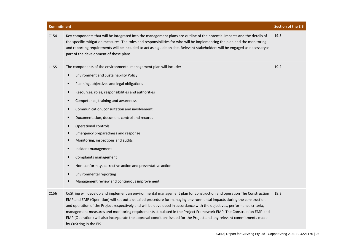| <b>Commitment</b> |                                                                                                                                                                                                                                                                                                                                                                                                                                                                                                                                                                                                                                                                                   | <b>Section of the EIS</b> |
|-------------------|-----------------------------------------------------------------------------------------------------------------------------------------------------------------------------------------------------------------------------------------------------------------------------------------------------------------------------------------------------------------------------------------------------------------------------------------------------------------------------------------------------------------------------------------------------------------------------------------------------------------------------------------------------------------------------------|---------------------------|
| C154              | Key components that will be integrated into the management plans are outline of the potential impacts and the details of<br>the specific mitigation measures. The roles and responsibilities for who will be implementing the plan and the monitoring<br>and reporting requirements will be included to act as a guide on site. Relevant stakeholders will be engaged as necessaryas<br>part of the development of these plans.                                                                                                                                                                                                                                                   | 19.3                      |
| C155              | The components of the environmental management plan will include:<br><b>Environment and Sustainability Policy</b><br>Planning, objectives and legal obligations<br>Resources, roles, responsibilities and authorities<br>Competence, training and awareness<br>Communication, consultation and involvement<br>$\bullet$<br>Documentation, document control and records<br>Operational controls<br>$\bullet$<br>Emergency preparedness and response<br>Monitoring, inspections and audits<br>Incident management<br>Complaints management<br>Non-conformity, corrective action and preventative action<br>Environmental reporting<br>Management review and continuous improvement. | 19.2                      |
| C156              | CuString will develop and implement an environmental management plan for construction and operation The Construction<br>EMP and EMP (Operation) will set out a detailed procedure for managing environmental impacts during the construction<br>and operation of the Project respectively and will be developed in accordance with the objectives, performance criteria,<br>management measures and monitoring requirements stipulated in the Project Framework EMP. The Construction EMP and<br>EMP (Operation) will also incorporate the approval conditions issued for the Project and any relevant commitments made<br>by CuString in the EIS.                                | 19.2                      |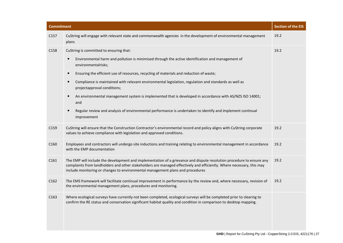| <b>Commitment</b> |                                                                                                                                                                                                                                                                                                                                                                                                                                                                                                                                                                                                                                                                                                                         | <b>Section of the EIS</b> |
|-------------------|-------------------------------------------------------------------------------------------------------------------------------------------------------------------------------------------------------------------------------------------------------------------------------------------------------------------------------------------------------------------------------------------------------------------------------------------------------------------------------------------------------------------------------------------------------------------------------------------------------------------------------------------------------------------------------------------------------------------------|---------------------------|
| C <sub>157</sub>  | CuString will engage with relevant state and commonwealth agencies in the development of environmental management<br>plans                                                                                                                                                                                                                                                                                                                                                                                                                                                                                                                                                                                              | 19.2                      |
| C158              | CuString is committed to ensuring that:<br>Environmental harm and pollution is minimised through the active identification and management of<br>$\bullet$<br>environmentalrisks;<br>Ensuring the efficient use of resources, recycling of materials and reduction of waste;<br>$\bullet$<br>Compliance is maintained with relevant environmental legislation, regulation and standards as well as<br>$\bullet$<br>projectapproval conditions;<br>An environmental management system is implemented that is developed in accordance with AS/NZS ISO 14001;<br>$\bullet$<br>and<br>Regular review and analysis of environmental performance is undertaken to identify and implement continual<br>$\bullet$<br>improvement | 19.2                      |
| C159              | CuString will ensure that the Construction Contractor's environmental record and policy aligns with CuString corporate<br>values to achieve compliance with legislation and approved conditions.                                                                                                                                                                                                                                                                                                                                                                                                                                                                                                                        | 19.2                      |
| C160              | Employees and contractors will undergo site inductions and training relating to environmental management in accordance<br>with the EMP documentation                                                                                                                                                                                                                                                                                                                                                                                                                                                                                                                                                                    | 19.2                      |
| C161              | The EMP will include the development and implementation of a grievance and dispute resolution procedure to ensure any<br>complaints from landholders and other stakeholders are managed effectively and efficiently. Where necessary, this may<br>include monitoring or changes to environmental management plans and procedures                                                                                                                                                                                                                                                                                                                                                                                        | 19.2                      |
| C162              | The EMS framework will facilitate continual improvement in performance by the review and, where necessary, revision of<br>the environmental management plans, procedures and monitoring.                                                                                                                                                                                                                                                                                                                                                                                                                                                                                                                                | 19.2                      |
| C163              | Where ecological surveys have currently not been completed, ecological surveys will be completed prior to clearing to<br>confirm the RE status and conservation significant habitat quality and condition in comparison to desktop mapping.                                                                                                                                                                                                                                                                                                                                                                                                                                                                             |                           |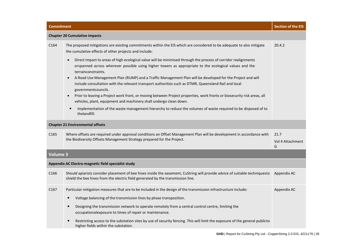| <b>Chapter 20 Cumulative impacts</b>                |                                                                                                                                                                                                                                                                                                                                                                                                                                                                                                                                                                                                                                                                                                                                                                                                                                          |                               |  |  |
|-----------------------------------------------------|------------------------------------------------------------------------------------------------------------------------------------------------------------------------------------------------------------------------------------------------------------------------------------------------------------------------------------------------------------------------------------------------------------------------------------------------------------------------------------------------------------------------------------------------------------------------------------------------------------------------------------------------------------------------------------------------------------------------------------------------------------------------------------------------------------------------------------------|-------------------------------|--|--|
| C164                                                | The proposed mitigations are existing commitments within the EIS which are considered to be adequate to also mitigate<br>the cumulative effects of other projects and include:                                                                                                                                                                                                                                                                                                                                                                                                                                                                                                                                                                                                                                                           | 20.4.2                        |  |  |
|                                                     | Direct impact to areas of high ecological value will be minimised through the process of corridor realignments<br>$\bullet$<br>orspanned across wherever possible using higher towers as appropriate to the ecological values and the<br>terrainconstraints.<br>A Road Use Management Plan (RUMP) and a Traffic Management Plan will be developed for the Project and will<br>include consultation with the relevant transport authorities such as DTMR, Queensland Rail and local<br>governmentcouncils.<br>Prior to leaving a Project work front, or moving between Project properties, work fronts or biosecurity risk areas, all<br>vehicles, plant, equipment and machinery shall undergo clean down.<br>Implementation of the waste management hierarchy to reduce the volumes of waste required to be disposed of to<br>$\bullet$ |                               |  |  |
|                                                     | thelandfill.                                                                                                                                                                                                                                                                                                                                                                                                                                                                                                                                                                                                                                                                                                                                                                                                                             |                               |  |  |
| <b>Chapter 21 Environmental offsets</b>             |                                                                                                                                                                                                                                                                                                                                                                                                                                                                                                                                                                                                                                                                                                                                                                                                                                          |                               |  |  |
| C <sub>165</sub>                                    | Where offsets are required under approval conditions an Offset Management Plan will be development in accordance with<br>the Biodiversity Offsets Management Strategy prepared for the Project.                                                                                                                                                                                                                                                                                                                                                                                                                                                                                                                                                                                                                                          | 21.7<br>Vol 4 Attachment<br>G |  |  |
| <b>Volume 3</b>                                     |                                                                                                                                                                                                                                                                                                                                                                                                                                                                                                                                                                                                                                                                                                                                                                                                                                          |                               |  |  |
| Appendix AC Electro-magnetic field specialist study |                                                                                                                                                                                                                                                                                                                                                                                                                                                                                                                                                                                                                                                                                                                                                                                                                                          |                               |  |  |
| C166                                                | Should apiarists consider placement of bee hives inside the easement, CuString will provide advice of suitable techniquesto<br>shield the bee hives from the electric field generated by the transmission line.                                                                                                                                                                                                                                                                                                                                                                                                                                                                                                                                                                                                                          | Appendix AC                   |  |  |
| C <sub>167</sub>                                    | Particular mitigation measures that are to be included in the design of the transmission infrastructure include:<br>Voltage balancing of the transmission lines by phase transposition.<br>$\bullet$<br>Designing the transmission network to operate remotely from a central control centre, limiting the<br>$\bullet$<br>occupationalexposure to times of repair or maintenance.<br>Restricting access to the substation sites by use of security fencing. This will limit the exposure of the general publicto<br>higher fields within the substation.                                                                                                                                                                                                                                                                                | Appendix AC                   |  |  |